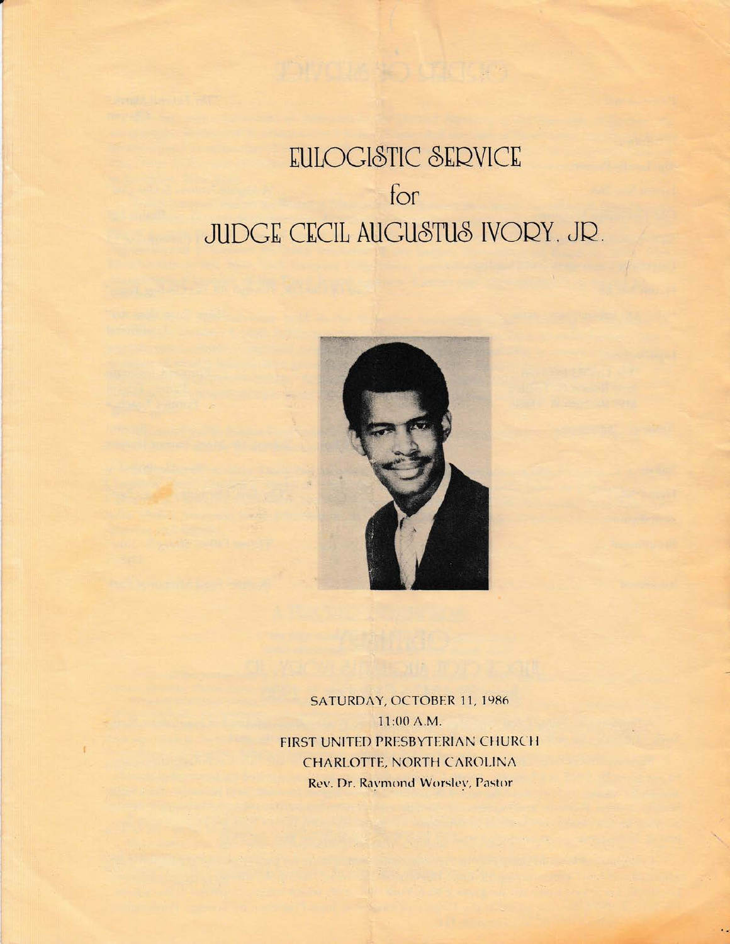## EULOGISTIC SERVICE for **JUDGE CECIL AUGUSTUS IVORY. JR.**



SATURDAY, OCTOBER 11, 1986 11:00 A.M. FIRST UNITED PRESBYTERIAN CHURCH CHARLOTTE, NORTH CAROLINA Rev. Dr. Raymond Worsley, Pastor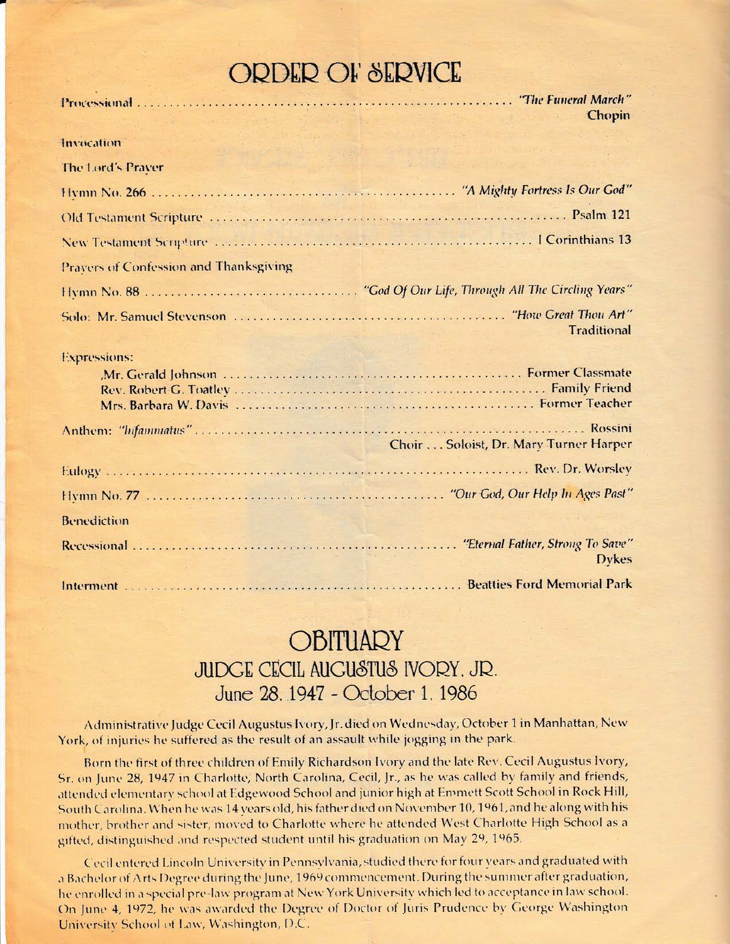## **ORDER OF SERVICE**

|                                               | Chopin                                                                                      |
|-----------------------------------------------|---------------------------------------------------------------------------------------------|
| Invocation<br>Sing of the couple there is     | on sales and the state with the state of the                                                |
| The Lord's Praver                             | a di Bara de l'altre la provincia della consegue della                                      |
|                                               |                                                                                             |
|                                               |                                                                                             |
|                                               |                                                                                             |
| <b>Pravers of Confession and Thanksgiving</b> |                                                                                             |
|                                               |                                                                                             |
|                                               | <b>Traditional</b>                                                                          |
| <b>Expressions:</b>                           |                                                                                             |
|                                               | Choir Soloist, Dr. Mary Turner Harper                                                       |
|                                               |                                                                                             |
|                                               |                                                                                             |
| <b>Benediction</b>                            |                                                                                             |
|                                               | "Eternal Father, Strong To Save"<br><b>Dykes</b>                                            |
|                                               | Interment <b>Matters Community Control</b> Determination of the Beatties Ford Memorial Park |

## **OBITUARY** JUDGE CECIL AUGUSTUS IVORY, JR. June 28, 1947 - October 1, 1986

Administrative Judge Cecil Augustus Ivory, Jr. died on Wednesday, October 1 in Manhattan, New York, of injuries he suffered as the result of an assault while jogging in the park.

Born the first of three children of Emily Richardson Ivory and the late Rev. Cecil Augustus Ivory, Sr. on June 28, 1947 in Charlotte, North Carolina, Cecil, Jr., as he was called by family and friends, attended elementary school at Edgewood School and junior high at Emmett Scott School in Rock Hill, South Carolina. When he was 14 years old, his father died on November 10, 1961, and he along with his mother, brother and sister, moved to Charlotte where he attended West Charlotte High School as a gifted, distinguished and respected student until his graduation on May 29, 1965.

Cecil entered Lincoln University in Pennsylvania, studied there for four years and graduated with a Bachelor of Arts Degree during the June, 1969 commencement. During the summer after graduation, he enrolled in a special pre-law program at New York University which led to acceptance in law school. On June 4, 1972, he was awarded the Degree of Doctor of Juris Prudence by George Washington University School of Law, Washington, D.C.